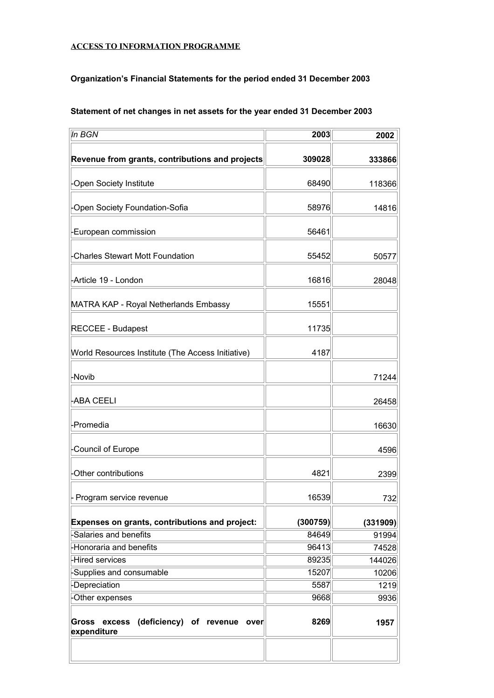## **ACCESS TO INFORMATION PROGRAMME**

## **Organization's Financial Statements for the period ended 31 December 2003**

| In BGN                                                             | 2003     | 2002     |
|--------------------------------------------------------------------|----------|----------|
| Revenue from grants, contributions and projects                    | 309028   | 333866   |
| -Open Society Institute                                            | 68490    | 118366   |
| -Open Society Foundation-Sofia                                     | 58976    | 14816    |
| -European commission                                               | 56461    |          |
| <b>Charles Stewart Mott Foundation</b>                             | 55452    | 50577    |
| -Article 19 - London                                               | 16816    | 28048    |
| MATRA KAP - Royal Netherlands Embassy                              | 15551    |          |
| <b>RECCEE - Budapest</b>                                           | 11735    |          |
| World Resources Institute (The Access Initiative)                  | 4187     |          |
| -Novib                                                             |          | 71244    |
| -ABA CEELI                                                         |          | 26458    |
| -Promedia                                                          |          | 16630    |
| Council of Europe                                                  |          | 4596     |
| Other contributions                                                | 4821     | 2399     |
| Program service revenue                                            | 16539    | 732      |
| Expenses on grants, contributions and project:                     | (300759) | (331909) |
| -Salaries and benefits                                             | 84649    | 91994    |
| -Honoraria and benefits                                            | 96413    | 74528    |
| <b>Hired services</b>                                              | 89235    | 144026   |
| -Supplies and consumable                                           | 15207    | 10206    |
| -Depreciation                                                      | 5587     | 1219     |
| -Other expenses                                                    | 9668     | 9936     |
| excess (deficiency) of revenue over<br><b>Gross</b><br>expenditure | 8269     | 1957     |

**Statement of net changes in net assets for the year ended 31 December 2003**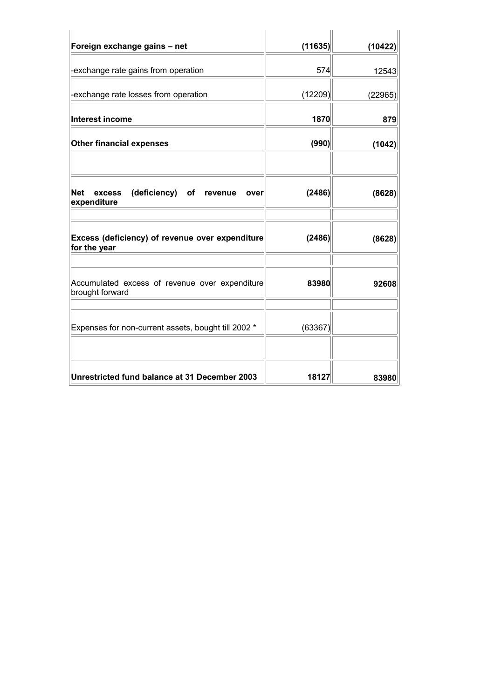| Foreign exchange gains - net                                      | (11635) |         |
|-------------------------------------------------------------------|---------|---------|
|                                                                   |         | (10422) |
| exchange rate gains from operation                                | 574     | 12543   |
| exchange rate losses from operation                               | (12209) | (22965) |
| Interest income                                                   | 1870    | 879     |
| <b>Other financial expenses</b>                                   | (990)   | (1042)  |
|                                                                   |         |         |
| (deficiency) of revenue<br>Net<br>excess<br>over<br>expenditure   | (2486)  | (8628)  |
| Excess (deficiency) of revenue over expenditure<br>for the year   | (2486)  | (8628)  |
| Accumulated excess of revenue over expenditure<br>brought forward | 83980   | 92608   |
| Expenses for non-current assets, bought till 2002 *               | (63367) |         |
| Unrestricted fund balance at 31 December 2003                     | 18127   | 83980   |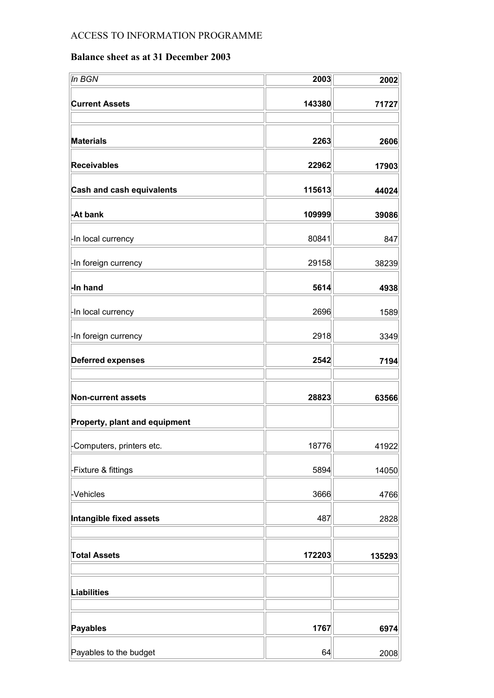## ACCESS TO INFORMATION PROGRAMME

## **Balance sheet as at 31 December 2003**

| In BGN                           | 2003   | 2002   |
|----------------------------------|--------|--------|
| <b>Current Assets</b>            | 143380 | 71727  |
| <b>Materials</b>                 | 2263   | 2606   |
| <b>Receivables</b>               | 22962  | 17903  |
| <b>Cash and cash equivalents</b> | 115613 | 44024  |
| -At bank                         | 109999 | 39086  |
| -In local currency               | 80841  | 847    |
| -In foreign currency             | 29158  | 38239  |
| -In hand                         | 5614   | 4938   |
| -In local currency               | 2696   | 1589   |
| -In foreign currency             | 2918   | 3349   |
| <b>Deferred expenses</b>         | 2542   | 7194   |
|                                  |        |        |
| <b>Non-current assets</b>        | 28823  | 63566  |
| Property, plant and equipment    |        |        |
| -Computers, printers etc.        | 18776  | 41922  |
| -Fixture & fittings              | 5894   | 14050  |
| -Vehicles                        | 3666   | 4766   |
| Intangible fixed assets          | 487    | 2828   |
|                                  |        |        |
| <b>Total Assets</b>              | 172203 | 135293 |
| <b>Liabilities</b>               |        |        |
|                                  |        |        |
| <b>Payables</b>                  | 1767   | 6974   |
| Payables to the budget           | 64     | 2008   |